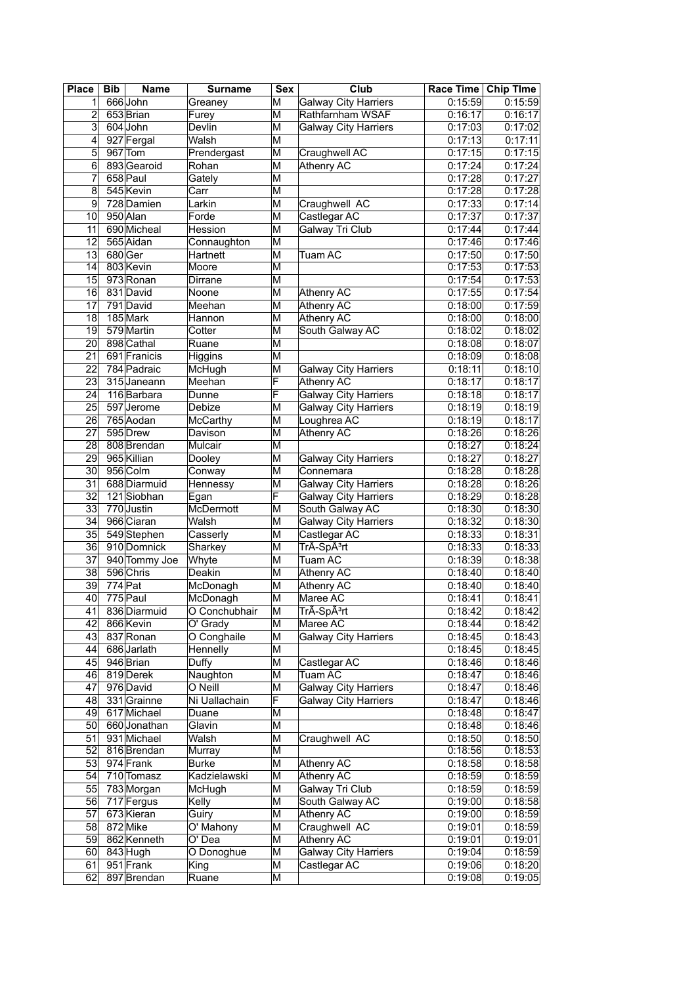| <b>Place</b>    | <b>Bib</b> | <b>Name</b>   | <b>Surname</b> | Sex                     | Club                        | Race Time Chip Time |          |
|-----------------|------------|---------------|----------------|-------------------------|-----------------------------|---------------------|----------|
| 1               |            | 666John       | Greaney        | М                       | <b>Galway City Harriers</b> | 0:15:59             | 0:15:59  |
| $\overline{c}$  |            | 653 Brian     | Furey          | M                       | Rathfarnham WSAF            | 0:16:17             | 0:16:17  |
| 3               |            | 604 John      | Devlin         | M                       | <b>Galway City Harriers</b> | 0:17:03             | 0:17:02  |
| 4               |            | 927 Fergal    | Walsh          | $\overline{\mathsf{M}}$ |                             | 0:17:13             | 0:17:11  |
| 5               |            | 967 Tom       | Prendergast    | $\overline{\mathsf{M}}$ | Craughwell AC               | 0:17:15             | 0:17:15  |
| 6               |            | 893 Gearoid   | Rohan          | M                       | Athenry AC                  | 0:17:24             | 0:17:24  |
| 7               |            | 658 Paul      | Gately         | M                       |                             | 0:17:28             | 0:17:27  |
| 8               |            | 545 Kevin     | Carr           | $\overline{\mathsf{M}}$ |                             | 0:17:28             | 0:17:28  |
| 9               |            | 728 Damien    | Larkin         | $\overline{\mathsf{M}}$ | Craughwell AC               | 0:17:33             | 0:17:14  |
| 10              |            | 950 Alan      | Forde          | $\overline{\mathsf{M}}$ | Castlegar AC                | 0:17:37             | 0:17:37  |
| 11              |            | 690 Micheal   | Hession        | M                       | Galway Tri Club             | 0:17:44             | 0:17:44  |
| 12              |            | 565 Aidan     | Connaughton    | M                       |                             | 0:17:46             | 0:17:46  |
| 13              | 680Ger     |               | Hartnett       | M                       | Tuam AC                     | 0:17:50             | 0:17:50  |
| 14              |            | 803 Kevin     | Moore          | M                       |                             | 0:17:53             | 0:17:53  |
| 15              |            | 973 Ronan     | Dirrane        | $\overline{\mathsf{M}}$ |                             | 0:17:54             | 0:17:53  |
| 16              |            | 831 David     | Noone          | M                       | Athenry AC                  | 0:17:55             | 0:17:54  |
| 17              |            | 791 David     | Meehan         | M                       | Athenry AC                  | 0:18:00             | 0:17:59  |
| 18              |            | 185 Mark      | Hannon         | M                       | Athenry AC                  | 0:18:00             | 0:18:00  |
| 19              |            | 579 Martin    | Cotter         | M                       | South Galway AC             | 0:18:02             | 0:18:02  |
| 20              |            | 898 Cathal    | Ruane          | M                       |                             | 0:18:08             | 0:18:07  |
| 21              |            | 691 Franicis  |                | $\overline{\mathsf{M}}$ |                             |                     |          |
|                 |            |               | Higgins        |                         |                             | 0:18:09             | 0:18:08  |
| $\overline{22}$ |            | 784 Padraic   | McHugh         | M                       | <b>Galway City Harriers</b> | 0:18:11             | 0:18:10  |
| $\overline{23}$ |            | 315 Janeann   | Meehan         | F                       | Athenry AC                  | 0:18:17             | 0:18:17  |
| 24              |            | 116 Barbara   | Dunne          | F                       | <b>Galway City Harriers</b> | 0:18:18             | 0:18:17  |
| 25              |            | 597 Jerome    | Debize         | M                       | <b>Galway City Harriers</b> | 0:18:19             | 0:18:19  |
| 26              |            | 765 Aodan     | McCarthy       | M                       | Loughrea AC                 | 0:18:19             | 0:18:17  |
| 27              |            | 595 Drew      | Davison        | M                       | Athenry AC                  | 0:18:26             | 0:18:26  |
| 28              |            | 808 Brendan   | Mulcair        | M                       |                             | 0:18:27             | 0:18:24  |
| 29              |            | 965 Killian   | Dooley         | M                       | <b>Galway City Harriers</b> | 0:18:27             | 0:18:27  |
| 30              |            | 956 Colm      | Conway         | M                       | Connemara                   | 0:18:28             | 0:18:28  |
| $\overline{31}$ |            | 688 Diarmuid  | Hennessy       | M                       | <b>Galway City Harriers</b> | 0:18:28             | 0:18:26  |
| 32              |            | 121 Siobhan   | Egan           | F                       | <b>Galway City Harriers</b> | 0:18:29             | 0:18:28  |
| 33              |            | 770 Justin    | McDermott      | M                       | South Galway AC             | 0:18:30             | 0:18:30  |
| 34              |            | 966 Ciaran    | Walsh          | M                       | <b>Galway City Harriers</b> | 0:18:32             | 0:18:30  |
| 35              |            | 549 Stephen   | Casserly       | M                       | Castlegar AC                | 0:18:33             | 0:18:31  |
| 36              |            | 910 Domnick   | Sharkey        | M                       | TrÃ-Spêrt                   | 0:18:33             | 0:18:33  |
| 37              |            | 940 Tommy Joe | Whyte          | M                       | Tuam AC                     | 0:18:39             | 0:18:38  |
| 38              |            | 596 Chris     | Deakin         | M                       | Athenry AC                  | 0:18:40             | 0:18:40  |
| 39              | $774$ Pat  |               | McDonagh       | M                       | Athenry AC                  | 0:18:40             | 0:18:40  |
| 40              |            | 775 Paul      | McDonagh       | M                       | Maree AC                    | 0:18:41             | 0:18:41  |
| 41              |            | 836 Diarmuid  | O Conchubhair  | M                       | TrA-SpA <sup>3</sup> rt     | 0:18:42             | 0:18:421 |
| 42              |            | 866 Kevin     | O' Grady       | M                       | Maree AC                    | 0:18:44             | 0:18:42  |
| 43              |            | 837 Ronan     | O Conghaile    | M                       | <b>Galway City Harriers</b> | 0:18:45             | 0:18:43  |
| 44              |            | 686 Jarlath   | Hennelly       | M                       |                             | 0:18:45             | 0:18:45  |
| 45              |            | 946 Brian     | Duffy          | M                       | Castlegar AC                | 0:18:46             | 0:18:46  |
| 46              |            | 819 Derek     | Naughton       | M                       | Tuam AC                     | 0:18:47             | 0:18:46  |
| 47              |            | 976 David     | O Neill        | М                       | <b>Galway City Harriers</b> | 0:18:47             | 0:18:46  |
| 48              |            | 331 Grainne   | Ni Uallachain  | F                       | <b>Galway City Harriers</b> | 0:18:47             | 0:18:46  |
| 49              |            | 617 Michael   | Duane          | M                       |                             | 0:18:48             | 0:18:47  |
| 50 <sub>1</sub> |            | 660 Jonathan  | Glavin         | $\overline{\mathsf{M}}$ |                             | 0:18:48             | 0:18:46  |
| 51              |            | 931 Michael   | Walsh          | M                       | Craughwell AC               | 0:18:50             | 0:18:50  |
| 52              |            | 816 Brendan   | Murray         | М                       |                             | 0:18:56             | 0:18:53  |
| 53              |            | 974 Frank     | <b>Burke</b>   | M                       | Athenry AC                  | 0:18:58             | 0:18:58  |
| 54              |            | 710 Tomasz    | Kadzielawski   | $\overline{\mathsf{M}}$ | Athenry AC                  | 0:18:59             | 0:18:59  |
| 55              |            | 783 Morgan    | McHugh         | M                       | Galway Tri Club             | 0:18:59             | 0:18:59  |
| 56              |            | 717 Fergus    | Kelly          | M                       | South Galway AC             | 0:19:00             | 0:18:58  |
| 57              |            | 673 Kieran    | Guiry          | M                       | Athenry AC                  | 0:19:00             | 0:18:59  |
| 58              |            | 872 Mike      | O' Mahony      | $\overline{\mathsf{M}}$ | Craughwell AC               | 0:19:01             | 0:18:59  |
| 59              |            | 862 Kenneth   | O' Dea         | M                       | Athenry AC                  | 0:19:01             | 0:19:01  |
| 60              |            | 843 Hugh      | O Donoghue     | M                       | <b>Galway City Harriers</b> | 0:19:04             | 0:18:59  |
| 61              |            | 951 Frank     | King           | M                       | Castlegar AC                | 0:19:06             | 0:18:20  |
| 62              |            | 897 Brendan   | Ruane          | М                       |                             | 0:19:08             | 0:19:05  |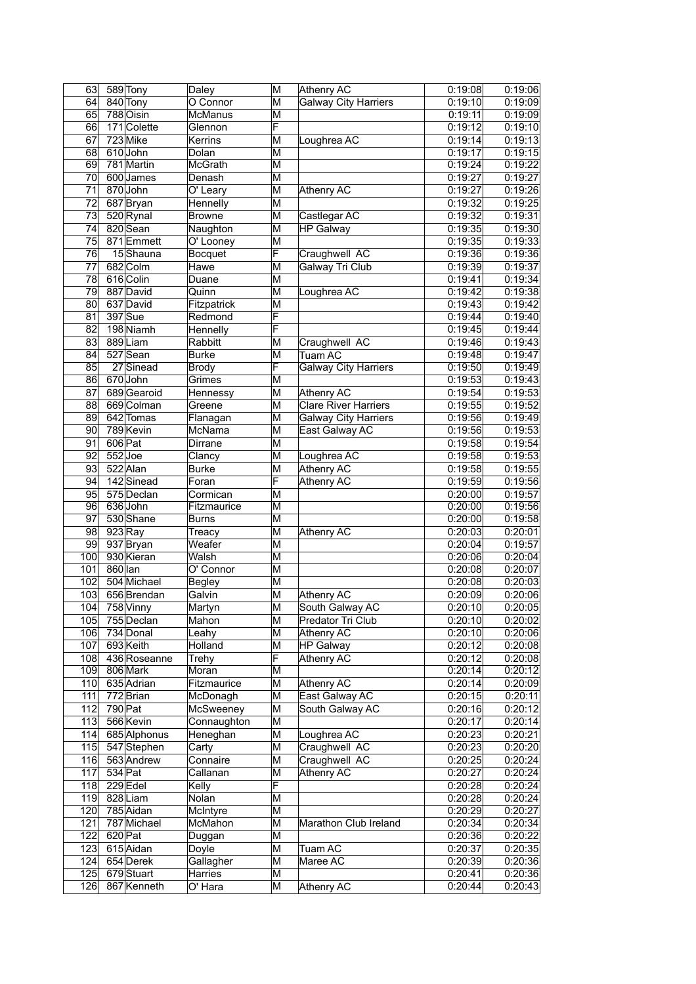| 63              |           | 589 Tony     | Daley          | M                       | Athenry AC                  | 0:19:08              | 0:19:06 |
|-----------------|-----------|--------------|----------------|-------------------------|-----------------------------|----------------------|---------|
| 64              |           | 840 Tony     | O Connor       | ΙM                      | <b>Galway City Harriers</b> | 0:19:10              | 0:19:09 |
| 65              |           | $788$ Oisin  | McManus        | ΙM                      |                             | 0:19:11              | 0:19:09 |
| 66              |           | 171 Colette  | Glennon        | F                       |                             | 0:19:12              | 0:19:10 |
| 67              |           | 723 Mike     | Kerrins        | M                       | Loughrea AC                 | 0:19:14              | 0:19:13 |
| 68              |           | 610John      | Dolan          | M                       |                             | 0:19:17              | 0:19:15 |
| 69              |           | 781 Martin   | <b>McGrath</b> | ΙM                      |                             | 0:19:24              | 0:19:22 |
| 70              |           | 600 James    | Denash         | M                       |                             | 0:19:27              | 0:19:27 |
| 71              |           | 870 John     | O' Leary       | M                       | Athenry AC                  | 0:19:27              | 0:19:26 |
| $\overline{72}$ |           | 687 Bryan    | Hennelly       | M                       |                             | 0:19:32              | 0:19:25 |
| $\overline{73}$ |           | 520 Rynal    | <b>Browne</b>  | $\overline{\mathsf{M}}$ | Castlegar AC                | 0:19:32              | 0:19:31 |
| 74              |           | 820 Sean     | Naughton       | ΙM                      | <b>HP Galway</b>            | 0:19:35              | 0:19:30 |
| $\overline{75}$ |           | 871 Emmett   | O' Looney      | M                       |                             | 0:19:35              | 0:19:33 |
|                 |           | 15Shauna     |                | F                       |                             | 0:19:36              | 0:19:36 |
| 76              |           |              | Bocquet        |                         | Craughwell AC               |                      |         |
| 77              |           | 682 Colm     | Hawe           | M                       | Galway Tri Club             | 0:19:39              | 0:19:37 |
| $\overline{78}$ |           | 616 Colin    | Duane          | M                       |                             | 0:19:41              | 0:19:34 |
| 79              |           | 887 David    | Quinn          | M                       | Loughrea AC                 | 0:19:42              | 0:19:38 |
| 80              |           | 637 David    | Fitzpatrick    | M                       |                             | 0:19:43              | 0:19:42 |
| 81              |           | 397 Sue      | Redmond        | F                       |                             | 0:19:44              | 0:19:40 |
| 82              |           | 198 Niamh    | Hennelly       | F                       |                             | 0:19:45              | 0:19:44 |
| 83              |           | 889Liam      | Rabbitt        | M                       | Craughwell AC               | 0:19:46              | 0:19:43 |
| 84              |           | 527 Sean     | <b>Burke</b>   | ΙM                      | Tuam AC                     | 0:19:48              | 0:19:47 |
| 85              |           | 27 Sinead    | <b>Brody</b>   | F                       | <b>Galway City Harriers</b> | 0:19:50              | 0:19:49 |
| 86              |           | 670 John     | Grimes         | М                       |                             | 0:19:53              | 0:19:43 |
| 87              |           | 689 Gearoid  | Hennessy       | M                       | <b>Athenry AC</b>           | 0:19:54              | 0:19:53 |
| 88              |           | 669 Colman   | Greene         | M                       | <b>Clare River Harriers</b> | 0:19:55              | 0:19:52 |
| 89              |           | 642 Tomas    | Flanagan       | M                       | <b>Galway City Harriers</b> | 0:19:56              | 0:19:49 |
| 90              |           | 789 Kevin    | McNama         | ΙM                      | East Galway AC              | 0:19:56              | 0:19:53 |
| 91              | 606 Pat   |              | Dirrane        | M                       |                             | 0:19:58              | 0:19:54 |
| 92              | $552$ Joe |              | Clancy         | M                       | Loughrea AC                 | 0:19:58              | 0:19:53 |
| 93              |           | 522 Alan     | <b>Burke</b>   | M                       | <b>Athenry AC</b>           | 0:19:58              | 0:19:55 |
| 94              |           | 142 Sinead   |                | F                       |                             | 0:19:59              |         |
|                 |           |              | Foran          |                         | Athenry AC                  |                      | 0:19:56 |
| 95              |           | 575 Declan   | Cormican       | ΙM                      |                             | 0:20:00              | 0:19:57 |
| 96              |           | 636John      | Fitzmaurice    | ΙM                      |                             | 0:20:00              | 0:19:56 |
| 97              |           | 530 Shane    | Burns          | M                       |                             | 0:20:00              | 0:19:58 |
| 98              |           | $923$ Ray    | Treacy         | M                       | <b>Athenry AC</b>           | 0:20:03              | 0:20:01 |
| 99              |           | 937 Bryan    | Weafer         | ΙM                      |                             | 0:20:04              | 0:19:57 |
| 100             |           | 930 Kieran   | Walsh          | M                       |                             | 0:20:06              | 0:20:04 |
| 101             | $860$ lan |              | O' Connor      | M                       |                             | 0:20:08              | 0:20:07 |
| 102             |           | 504 Michael  | <b>Begley</b>  | M                       |                             | 0:20:08              | 0:20:03 |
| 103             |           | 656 Brendan  | Galvin         | M                       | Athenry AC                  | 0:20:09              | 0:20:06 |
| 104             |           | 758 Vinny    | Martyn         | $\overline{\mathsf{M}}$ | South Galway AC             | 0:20:10              | 0:20:05 |
| 105             |           | 755 Declan   | Mahon          | M                       | Predator Tri Club           | 0:20:10              | 0:20:02 |
| 106             |           | 734 Donal    | Leahy          | M                       | Athenry AC                  | 0:20:10              | 0:20:06 |
| 107             |           | 693 Keith    | <b>Holland</b> | M                       | <b>HP Galway</b>            | 0:20:12              | 0:20:08 |
| 108             |           | 436 Roseanne | Trehy          | F                       | Athenry AC                  | 0:20:12              | 0:20:08 |
| 109             |           | 806 Mark     | Moran          | ΙM                      |                             | 0:20:14              | 0:20:12 |
| 110             |           | 635 Adrian   | Fitzmaurice    | M                       | Athenry AC                  | 0:20:14              | 0:20:09 |
| 111             |           | 772Brian     | McDonagh       | M                       | East Galway AC              | 0:20:15              | 0:20:11 |
| 112             | 790 Pat   |              | McSweeney      | M                       | South Galway AC             | 0:20:16              | 0:20:12 |
| 113             |           | 566 Kevin    | Connaughton    | M                       |                             | 0:20:17              | 0:20:14 |
| 114             |           | 685 Alphonus | Heneghan       | M                       | Loughrea AC                 | 0:20:23              | 0:20:21 |
| 115             |           | 547 Stephen  | Carty          | M                       | Craughwell AC               | 0:20:23              | 0:20:20 |
| 116             |           | 563 Andrew   | Connaire       | M                       | Craughwell AC               | $\overline{0:20:25}$ | 0:20:24 |
| 117             | $534$ Pat |              |                | ΙM                      | Athenry AC                  | 0:20:27              | 0:20:24 |
|                 |           |              | Callanan       | F                       |                             |                      |         |
| 118             |           | $229$ Edel   | Kelly          |                         |                             | 0:20:28              | 0:20:24 |
| 119             |           | 828 Liam     | Nolan          | M                       |                             | 0:20:28              | 0:20:24 |
| 120             |           | 785 Aidan    | McIntyre       | ΙM                      |                             | 0:20:29              | 0:20:27 |
| 121             |           | 787 Michael  | McMahon        | M                       | Marathon Club Ireland       | 0:20:34              | 0:20:34 |
| 122             | $620$ Pat |              | Duggan         | M                       |                             | 0:20:36              | 0:20:22 |
| 123             |           | 615 Aidan    | Doyle          | M                       | Tuam AC                     | 0:20:37              | 0:20:35 |
| 124             |           | 654 Derek    | Gallagher      | M                       | Maree AC                    | 0:20:39              | 0:20:36 |
| 125             |           | 679Stuart    | Harries        | M                       |                             | 0:20:41              | 0:20:36 |
| 126             |           | 867 Kenneth  | O' Hara        | M                       | Athenry AC                  | 0:20:44              | 0:20:43 |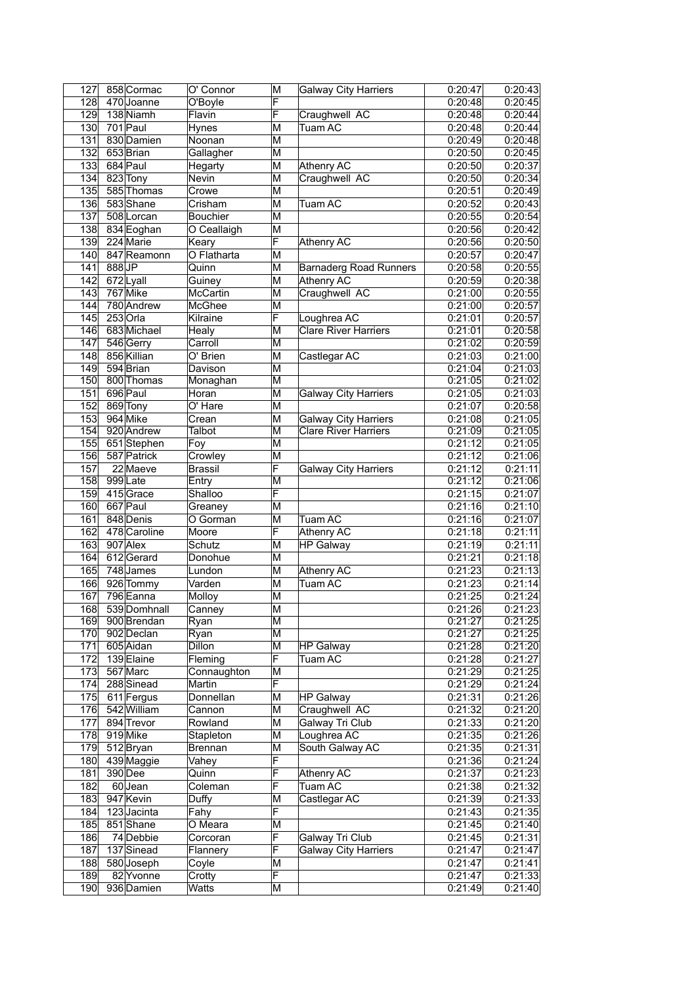| 127              |       | 858 Cormac   | O' Connor                   | M                       | <b>Galway City Harriers</b>   | 0:20:47 | 0:20:43 |
|------------------|-------|--------------|-----------------------------|-------------------------|-------------------------------|---------|---------|
| $\overline{128}$ |       | 470 Joanne   | O'Boyle                     | F                       |                               | 0:20:48 | 0:20:45 |
| $\overline{129}$ |       | 138 Niamh    | Flavin                      | F                       | Craughwell AC                 | 0:20:48 | 0:20:44 |
| 130              |       | 701 Paul     | Hynes                       | M                       | Tuam AC                       | 0:20:48 | 0:20:44 |
| 131              |       | 830 Damien   | Noonan                      | M                       |                               | 0:20:49 | 0:20:48 |
| $\overline{132}$ |       | 653 Brian    | Gallagher                   | M                       |                               | 0:20:50 | 0:20:45 |
| 133              |       | 684 Paul     | Hegarty                     | M                       | Athenry AC                    | 0:20:50 | 0:20:37 |
| 134              |       | 823 Tony     | Nevin                       | M                       | Craughwell AC                 | 0:20:50 | 0:20:34 |
| 135              |       | 585 Thomas   | Crowe                       | M                       |                               | 0:20:51 | 0:20:49 |
| 136              |       | 583 Shane    | Crisham                     | M                       | Tuam AC                       | 0:20:52 | 0:20:43 |
| $\overline{137}$ |       | 508 Lorcan   | Bouchier                    | $\overline{\mathsf{M}}$ |                               | 0:20:55 | 0:20:54 |
| 138              |       | 834 Eoghan   | O Ceallaigh                 | M                       |                               | 0:20:56 | 0:20:42 |
| 139              |       | 224 Marie    | Keary                       | F                       | Athenry AC                    | 0:20:56 | 0:20:50 |
| 140              |       | 847 Reamonn  | O Flatharta                 | M                       |                               | 0:20:57 | 0:20:47 |
| 141              | 888JP |              | Quinn                       | M                       | <b>Barnaderg Road Runners</b> | 0:20:58 | 0:20:55 |
| $\overline{142}$ |       | 672Lyall     | Guiney                      | M                       | Athenry AC                    | 0:20:59 | 0:20:38 |
| 143              |       | 767 Mike     | <b>McCartin</b>             | M                       | Craughwell AC                 | 0:21:00 | 0:20:55 |
| 144              |       | 780 Andrew   | McGhee                      | M                       |                               | 0:21:00 | 0:20:57 |
| 145              |       | $253$ Orla   | Kilraine                    | F                       | Loughrea AC                   | 0:21:01 | 0:20:57 |
| 146              |       | 683 Michael  | Healy                       | M                       | <b>Clare River Harriers</b>   | 0:21:01 | 0:20:58 |
| 147              |       | 546 Gerry    | Carroll                     | M                       |                               | 0:21:02 | 0:20:59 |
| 148              |       | 856 Killian  | O' Brien                    | M                       | Castlegar AC                  | 0:21:03 | 0:21:00 |
| 149              |       | 594 Brian    | Davison                     | $\overline{\mathsf{M}}$ |                               | 0:21:04 | 0:21:03 |
| 150              |       | 800 Thomas   | Monaghan                    | M                       |                               | 0:21:05 | 0:21:02 |
| 151              |       | 696 Paul     | Horan                       | M                       | <b>Galway City Harriers</b>   | 0:21:05 | 0:21:03 |
| 152              |       | 869 Tony     | O' Hare                     | M                       |                               | 0:21:07 | 0:20:58 |
| 153              |       | 964 Mike     | Crean                       | $\overline{\mathsf{M}}$ | <b>Galway City Harriers</b>   | 0:21:08 | 0:21:05 |
| 154              |       | 920 Andrew   | Talbot                      | M                       | <b>Clare River Harriers</b>   | 0:21:09 | 0:21:05 |
| 155              |       | 651 Stephen  | Foy                         | M                       |                               | 0:21:12 | 0:21:05 |
| 156              |       | 587 Patrick  | Crowley                     | M                       |                               | 0:21:12 | 0:21:06 |
| 157              |       | 22 Maeve     | <b>Brassil</b>              | F                       | <b>Galway City Harriers</b>   | 0:21:12 | 0:21:11 |
| 158              |       | 999Late      | Entry                       | M                       |                               | 0:21:12 | 0:21:06 |
| 159              |       | 415Grace     | Shalloo                     | F                       |                               | 0:21:15 | 0:21:07 |
| 160              |       | 667 Paul     | Greaney                     | M                       |                               | 0:21:16 | 0:21:10 |
| 161              |       | 848 Denis    | O Gorman                    | M                       | Tuam AC                       | 0:21:16 | 0:21:07 |
| 162              |       | 478 Caroline | Moore                       | F                       | Athenry AC                    | 0:21:18 | 0:21:11 |
| 163              |       | 907 Alex     | Schutz                      | M                       | <b>HP Galway</b>              | 0:21:19 | 0:21:11 |
| 164              |       | 612Gerard    | Donohue                     | M                       |                               | 0:21:21 | 0:21:18 |
| 165              |       | 748 James    | Lundon                      | M                       | Athenry AC                    | 0:21:23 | 0:21:13 |
| 166              |       | 926 Tommy    | Varden                      | M                       | Tuam AC                       | 0:21:23 | 0:21:14 |
| 167              |       | 796 Eanna    | Molloy                      | M                       |                               | 0:21:25 | 0:21:24 |
| 168              |       | 539 Domhnall | Canney                      | $\overline{\mathsf{M}}$ |                               | 0:21:26 | 0:21:23 |
| 169              |       | 900 Brendan  | Ryan                        | M                       |                               | 0:21:27 | 0:21:25 |
| 170              |       | 902 Declan   | Ryan                        | M                       |                               | 0:21:27 | 0:21:25 |
| 171              |       | 605 Aidan    | <b>Dillon</b>               | M                       | <b>HP Galway</b>              | 0:21:28 | 0:21:20 |
| 172              |       | 139 Elaine   | Fleming                     | F                       | Tuam AC                       | 0:21:28 | 0:21:27 |
| 173              |       | 567 Marc     | Connaughton                 | M                       |                               | 0:21:29 | 0:21:25 |
| 174              |       | 288 Sinead   | Martin                      | F                       |                               | 0:21:29 | 0:21:24 |
| 175              |       | 611 Fergus   | Donnellan                   | M                       | <b>HP Galway</b>              | 0:21:31 | 0:21:26 |
| 176              |       | 542 William  | Cannon                      | M                       | Craughwell AC                 | 0:21:32 | 0:21:20 |
| 177              |       | 894 Trevor   | Rowland                     | M                       | <b>Galway Tri Club</b>        | 0:21:33 | 0:21:20 |
| 178              |       | 919 Mike     | Stapleton                   | M                       | Loughrea AC                   | 0:21:35 | 0:21:26 |
| $\overline{179}$ |       | 512 Bryan    | Brennan                     | $\overline{\mathsf{M}}$ | South Galway AC               | 0:21:35 | 0:21:31 |
| 180              |       | 439 Maggie   | Vahey                       | F                       |                               | 0:21:36 | 0:21:24 |
| 181              |       | 390 Dee      | Quinn                       | F                       | Athenry AC                    | 0:21:37 | 0:21:23 |
| 182              |       | 60Jean       | Coleman                     | F                       | Tuam AC                       | 0:21:38 | 0:21:32 |
| 183              |       | 947 Kevin    | Duffy                       | M                       | Castlegar AC                  | 0:21:39 | 0:21:33 |
| 184              |       | 123Jacinta   | $\overline{\mathsf{F}}$ ahy | F                       |                               | 0:21:43 | 0:21:35 |
| 185              |       | 851 Shane    | O Meara                     | M                       |                               | 0:21:45 | 0:21:40 |
| 186              |       | 74 Debbie    | Corcoran                    | F                       | Galway Tri Club               | 0:21:45 | 0:21:31 |
| 187              |       | 137 Sinead   | Flannery                    | F                       | <b>Galway City Harriers</b>   | 0:21:47 | 0:21:47 |
| 188              |       | 580 Joseph   | Coyle                       | M                       |                               | 0:21:47 | 0:21:41 |
| 189              |       | 82 Yvonne    | Crotty                      | F                       |                               | 0:21:47 | 0:21:33 |
| 190              |       | 936 Damien   | Watts                       | M                       |                               | 0:21:49 | 0:21:40 |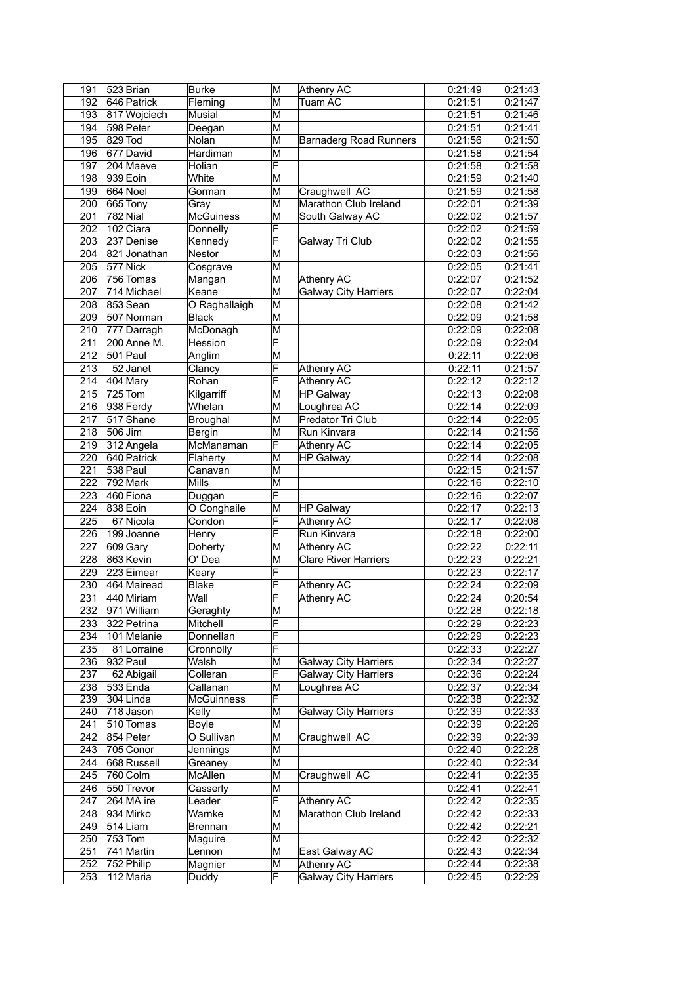| 191              | 523 Brian    | <b>Burke</b>      | M                       | Athenry AC                    | 0:21:49 | 0:21:43 |
|------------------|--------------|-------------------|-------------------------|-------------------------------|---------|---------|
| 192              | 646 Patrick  | Fleming           | M                       | Tuam AC                       | 0:21:51 | 0:21:47 |
| 193              | 817 Wojciech | <b>Musial</b>     | M                       |                               | 0:21:51 | 0:21:46 |
| 194              | 598 Peter    | Deegan            | M                       |                               | 0:21:51 | 0:21:41 |
| 195              | 829 Tod      | Nolan             | M                       | <b>Barnaderg Road Runners</b> | 0:21:56 | 0:21:50 |
| 196              | 677 David    | Hardiman          | $\overline{\mathsf{M}}$ |                               | 0:21:58 | 0:21:54 |
| 197              | 204 Maeve    | Holian            | $\overline{\mathsf{F}}$ |                               | 0:21:58 | 0:21:58 |
| 198              | 939 Eoin     | White             | M                       |                               | 0:21:59 | 0:21:40 |
| 199              | 664 Noel     | Gorman            | M                       | Craughwell AC                 | 0:21:59 | 0:21:58 |
| 200              | 665 Tony     | Grav              | M                       | Marathon Club Ireland         | 0:22:01 | 0:21:39 |
| $\overline{201}$ | 782 Nial     | <b>McGuiness</b>  | M                       | South Galway AC               | 0:22:02 | 0:21:57 |
| 202              | 102 Ciara    | Donnelly          | F                       |                               | 0:22:02 | 0:21:59 |
| 203              | 237 Denise   | Kennedy           | F                       | Galway Tri Club               | 0:22:02 | 0:21:55 |
| 204              | 821 Jonathan | <b>Nestor</b>     | M                       |                               | 0:22:03 | 0:21:56 |
| 205              | 577 Nick     | Cosgrave          | M                       |                               | 0:22:05 | 0:21:41 |
| 206              | 756 Tomas    | Mangan            | M                       | Athenry AC                    | 0:22:07 | 0:21:52 |
| 207              | 714 Michael  | Keane             | $\overline{\mathsf{M}}$ | <b>Galway City Harriers</b>   | 0:22:07 | 0:22:04 |
| 208              | 853 Sean     | O Raghallaigh     | M                       |                               | 0:22:08 | 0:21:42 |
| 209              | 507 Norman   | <b>Black</b>      | M                       |                               | 0:22:09 | 0:21:58 |
| 210              | 777 Darragh  | McDonagh          | M                       |                               | 0:22:09 | 0:22:08 |
| 211              | 200 Anne M.  | Hession           | F                       |                               | 0:22:09 | 0:22:04 |
| 212              | 501 Paul     | Anglim            | M                       |                               | 0:22:11 | 0:22:06 |
| $\overline{213}$ | 52 Janet     | Clancy            | F                       | Athenry AC                    | 0:22:11 | 0:21:57 |
| 214              | 404 Mary     | Rohan             | F                       | Athenry AC                    | 0:22:12 | 0:22:12 |
| 215              | $725$ Tom    | Kilgarriff        | M                       | <b>HP Galway</b>              | 0:22:13 | 0:22:08 |
| 216              | 938 Ferdy    | Whelan            | M                       | Loughrea AC                   | 0:22:14 | 0:22:09 |
| 217              | 517 Shane    | Broughal          | $\overline{\mathsf{M}}$ | Predator Tri Club             | 0:22:14 | 0:22:05 |
| 218              | 506 Jim      | Bergin            | M                       | Run Kinvara                   | 0:22:14 | 0:21:56 |
| 219              | 312 Angela   | McManaman         | F                       | Athenry AC                    | 0:22:14 | 0:22:05 |
| 220              | 640 Patrick  | Flaherty          | M                       | HP Galway                     | 0:22:14 | 0:22:08 |
| 221              | 538 Paul     | Canavan           | М                       |                               | 0:22:15 | 0:21:57 |
| $\overline{222}$ | 792 Mark     | Mills             | $\overline{\mathsf{M}}$ |                               | 0:22:16 | 0:22:10 |
| 223              | 460 Fiona    | Duggan            | F                       |                               | 0:22:16 | 0:22:07 |
| 224              | 838 Eoin     | O Conghaile       | M                       | HP Galway                     | 0:22:17 | 0:22:13 |
| 225              | 67 Nicola    | Condon            | F                       | Athenry AC                    | 0:22:17 | 0:22:08 |
| 226              | 199Joanne    | Henry             | F                       | Run Kinvara                   | 0:22:18 | 0:22:00 |
| 227              | 609 Gary     | Doherty           | M                       | <b>Athenry AC</b>             | 0:22:22 | 0:22:11 |
| 228              | 863 Kevin    | $O'$ Dea          | M                       | <b>Clare River Harriers</b>   | 0:22:23 | 0:22:21 |
| 229              |              |                   | F                       |                               |         | 0:22:17 |
|                  | 223 Eimear   | Keary             |                         |                               | 0:22:23 |         |
| 230              | 464 Mairead  | Blake             | F                       | Athenry AC                    | 0:22:24 | 0:22:09 |
| 231              | 440 Miriam   | Wall              | F                       | Athenry AC                    | 0:22:24 | 0:20:54 |
| 232              | 971 William  | Geraghty          | М                       |                               | 0:22:28 | 0:22:18 |
| 233              | 322 Petrina  | Mitchell          | F                       |                               | 0:22:29 | 0:22:23 |
| 234              | 101 Melanie  | Donnellan         | F                       |                               | 0:22:29 | 0:22:23 |
| 235              | 81 Lorraine  | Cronnolly         | F                       |                               | 0:22:33 | 0:22:27 |
| 236              | 932 Paul     | Walsh             | M                       | <b>Galway City Harriers</b>   | 0:22:34 | 0:22:27 |
| 237              | 62 Abigail   | Colleran          | F                       | <b>Galway City Harriers</b>   | 0:22:36 | 0:22:24 |
| 238              | 533 Enda     | Callanan          | M                       | Loughrea AC                   | 0:22:37 | 0:22:34 |
| 239              | 304 Linda    | <b>McGuinness</b> | F                       |                               | 0:22:38 | 0:22:32 |
| 240              | 718 Jason    | Kelly             | M                       | <b>Galway City Harriers</b>   | 0:22:39 | 0:22:33 |
| 241              | 510 Tomas    | Boyle             | $\overline{\mathsf{M}}$ |                               | 0:22:39 | 0:22:26 |
| 242              | 854 Peter    | O Sullivan        | M                       | Craughwell AC                 | 0:22:39 | 0:22:39 |
| 243              | 705 Conor    | Jennings          | M                       |                               | 0:22:40 | 0:22:28 |
| 244              | 668 Russell  | Greaney           | $\overline{\mathsf{M}}$ |                               | 0:22:40 | 0:22:34 |
| $\overline{245}$ | 760 Colm     | McAllen           | M                       | Craughwell AC                 | 0:22:41 | 0:22:35 |
| 246              | 550 Trevor   | Casserly          | M                       |                               | 0:22:41 | 0:22:41 |
| 247              | 264 MÃ ire   | Leader            | F                       | Athenry AC                    | 0:22:42 | 0:22:35 |
| 248              | 934 Mirko    | Warnke            | M                       | Marathon Club Ireland         | 0:22:42 | 0:22:33 |
| 249              | 514 Liam     | Brennan           | $\overline{\mathsf{M}}$ |                               | 0:22:42 | 0:22:21 |
| 250              | $753$ Tom    | Maguire           | M                       |                               | 0:22:42 | 0:22:32 |
| $\overline{251}$ | 741 Martin   | Lennon            | M                       | East Galway AC                | 0:22:43 | 0:22:34 |
| 252              | 752 Philip   | Magnier           | M                       | Athenry AC                    | 0:22:44 | 0:22:38 |
| 253              | 112 Maria    | Duddy             | F                       | <b>Galway City Harriers</b>   | 0:22:45 | 0:22:29 |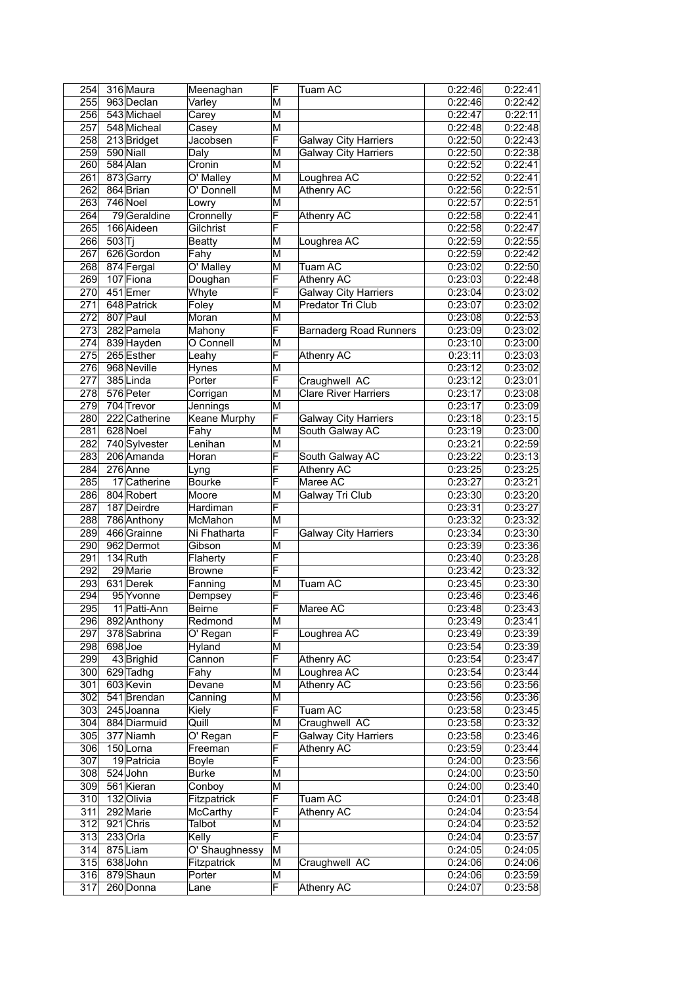| 254 | 316 Maura     | Meenaghan           | F                       | Tuam AC                       | 0:22:46              | 0:22:41 |
|-----|---------------|---------------------|-------------------------|-------------------------------|----------------------|---------|
| 255 | 963 Declan    | Varley              | М                       |                               | 0:22:46              | 0:22:42 |
| 256 | 543 Michael   | Carey               | M                       |                               | 0:22:47              | 0:22:11 |
| 257 | 548 Micheal   | Casey               | M                       |                               | 0:22:48              | 0:22:48 |
| 258 | 213 Bridget   | Jacobsen            | F                       | <b>Galway City Harriers</b>   | 0:22:50              | 0:22:43 |
| 259 | 590 Niall     | Daly                | M                       | <b>Galway City Harriers</b>   | 0:22:50              | 0:22:38 |
| 260 | 584 Alan      | Cronin              | M                       |                               | 0:22:52              | 0:22:41 |
| 261 | 873 Garry     | O' Malley           | M                       | Loughrea AC                   | 0:22:52              | 0:22:41 |
| 262 | 864 Brian     | O' Donnell          | M                       | <b>Athenry AC</b>             | 0:22:56              | 0:22:51 |
| 263 | $746$ Noel    | Lowry               | $\overline{\mathsf{M}}$ |                               | 0:22:57              | 0:22:51 |
| 264 | 79 Geraldine  | Cronnelly           | F                       | Athenry AC                    | 0:22:58              | 0:22:41 |
| 265 | 166 Aideen    | Gilchrist           | F                       |                               | 0:22:58              | 0:22:47 |
| 266 | 503 T         | <b>Beatty</b>       | M                       | Loughrea AC                   | 0:22:59              | 0:22:55 |
| 267 | 626 Gordon    | Fahy                | M                       |                               | 0:22:59              | 0:22:42 |
| 268 | 874 Fergal    | O' Malley           | M                       | Tuam AC                       | 0:23:02              | 0:22:50 |
| 269 | 107 Fiona     | Doughan             | F                       | Athenry AC                    | 0:23:03              | 0:22:48 |
| 270 | 451 Emer      | Whyte               | F                       | <b>Galway City Harriers</b>   | 0:23:04              | 0:23:02 |
| 271 | 648 Patrick   | Foley               | M                       | Predator Tri Club             | 0:23:07              | 0:23:02 |
| 272 | 807 Paul      | Moran               | M                       |                               | 0:23:08              | 0:22:53 |
| 273 | 282 Pamela    | Mahony              | F                       | <b>Barnaderg Road Runners</b> | 0:23:09              | 0:23:02 |
| 274 | 839 Hayden    | O Connell           | M                       |                               | 0:23:10              | 0:23:00 |
| 275 | 265 Esther    | Leahy               | F                       | Athenry AC                    | 0:23:11              | 0:23:03 |
| 276 | 968 Neville   | Hynes               | M                       |                               | 0:23:12              | 0:23:02 |
| 277 | $385$ Linda   | Porter              | F                       | Craughwell AC                 | 0:23:12              | 0:23:01 |
| 278 | 576 Peter     | Corrigan            | М                       | <b>Clare River Harriers</b>   | 0:23:17              | 0:23:08 |
| 279 | 704 Trevor    | Jennings            | M                       |                               | 0:23:17              | 0:23:09 |
| 280 | 222 Catherine | <b>Keane Murphy</b> | F                       | <b>Galway City Harriers</b>   | 0:23:18              | 0:23:15 |
| 281 | 628 Noel      | Fahy                | M                       | South Galway AC               | 0:23:19              | 0:23:00 |
| 282 | 740 Sylvester | Lenihan             | M                       |                               | 0:23:21              | 0:22:59 |
| 283 | 206 Amanda    | Horan               | F                       | South Galway AC               | 0:23:22              | 0:23:13 |
| 284 | 276 Anne      | Lyng                | F                       | Athenry AC                    | 0:23:25              | 0:23:25 |
| 285 | 17 Catherine  | Bourke              | F                       | Maree AC                      | 0:23:27              | 0:23:21 |
| 286 | 804 Robert    | Moore               | M                       | Galway Tri Club               | 0:23:30              | 0:23:20 |
| 287 | 187 Deirdre   | Hardiman            | F                       |                               | 0:23:31              | 0:23:27 |
| 288 | 786 Anthony   | McMahon             | М                       |                               | 0:23:32              | 0:23:32 |
| 289 | 466 Grainne   | Ni Fhatharta        | F                       | <b>Galway City Harriers</b>   | 0:23:34              | 0:23:30 |
| 290 | 962 Dermot    | Gibson              | M                       |                               | 0:23:39              | 0:23:36 |
| 291 | $134$ Ruth    | Flaherty            | F                       |                               | 0:23:40              | 0:23:28 |
| 292 | 29 Marie      | <b>Browne</b>       | F                       |                               | 0:23:42              | 0:23:32 |
| 293 | 631 Derek     | Fanning             | M                       | Tuam AC                       | 0:23:45              | 0:23:30 |
| 294 | 95 Yvonne     | Dempsey             | F                       |                               | 0:23:46              | 0:23:46 |
| 295 | 11 Patti-Ann  | <b>Beirne</b>       | F                       | Maree AC                      | 0:23:48              | 0:23:43 |
| 296 | 892 Anthony   | Redmond             | М                       |                               | 0:23:49              | 0:23:41 |
| 297 | 378 Sabrina   | O' Regan            | F                       | Loughrea AC                   | 0:23:49              | 0:23:39 |
| 298 | 698Joe        | Hyland              | M                       |                               | 0:23:54              | 0:23:39 |
| 299 | 43 Brighid    | Cannon              | F                       | Athenry AC                    | 0:23:54              | 0:23:47 |
| 300 | 629 Tadhg     | Fahy                | $\overline{\mathsf{M}}$ | Loughrea AC                   | 0:23:54              | 0:23:44 |
| 301 | 603 Kevin     | Devane              | M                       | Athenry AC                    | 0:23:56              | 0:23:56 |
| 302 | 541 Brendan   | Canning             | M                       |                               | 0:23:56              | 0:23:36 |
| 303 | 245 Joanna    | Kiely               | F                       | Tuam AC                       | $\overline{0:}23:58$ | 0:23:45 |
| 304 | 884 Diarmuid  | Quill               | М                       | Craughwell AC                 | 0:23:58              | 0:23:32 |
| 305 | 377 Niamh     | O' Regan            | F                       | <b>Galway City Harriers</b>   | 0:23:58              | 0:23:46 |
| 306 | 150Lorna      | Freeman             | F                       | Athenry AC                    | 0:23:59              | 0:23:44 |
| 307 | 19 Patricia   | Boyle               | F                       |                               | 0:24:00              | 0:23:56 |
| 308 | 524 John      | Burke               | M                       |                               | 0:24:00              | 0:23:50 |
| 309 | 561 Kieran    | Conboy              | М                       |                               | 0:24:00              | 0:23:40 |
| 310 | 132 Olivia    | Fitzpatrick         | F                       | Tuam AC                       | 0:24:01              | 0:23:48 |
| 311 | 292 Marie     | <b>McCarthy</b>     | F                       | Athenry AC                    | 0:24:04              | 0:23:54 |
| 312 | 921 Chris     | Talbot              | M                       |                               | 0:24:04              | 0:23:52 |
| 313 | $233$ Orla    | Kelly               | F                       |                               | 0:24:04              | 0:23:57 |
| 314 | 875Liam       | O' Shaughnessy      | M                       |                               | 0:24:05              | 0:24:05 |
| 315 | 638 John      | Fitzpatrick         | М                       | Craughwell AC                 | 0:24:06              | 0:24:06 |
| 316 | 879 Shaun     | Porter              | M                       |                               | 0:24:06              | 0:23:59 |
| 317 | 260 Donna     | Lane                | F                       | Athenry AC                    | 0:24:07              | 0:23:58 |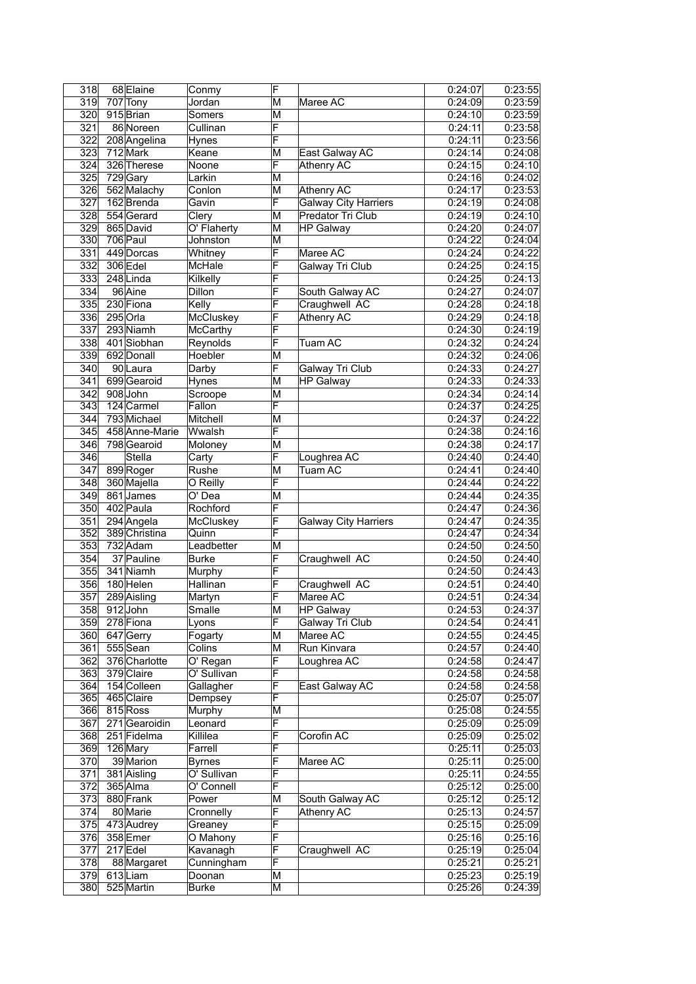| 318              | 68 Elaine            | Conmy                  | F                       |                             | 0:24:07              | 0:23:55 |
|------------------|----------------------|------------------------|-------------------------|-----------------------------|----------------------|---------|
| 319              | 707 Tony             | Jordan                 | ΙM                      | Maree AC                    | 0:24:09              | 0:23:59 |
| 320              | 915 Brian            | Somers                 | M                       |                             | 0:24:10              | 0:23:59 |
| 321              | 86 Noreen            | Cullinan               | F                       |                             | 0:24:11              | 0:23:58 |
| 322              | 208 Angelina         | Hynes                  | F                       |                             | 0:24:11              | 0:23:56 |
| $\overline{323}$ | 712 Mark             | Keane                  | M                       | East Galway AC              | 0:24:14              | 0:24:08 |
| 324              | 326 Therese          | Noone                  | F                       | <b>Athenry AC</b>           | 0:24:15              | 0:24:10 |
| 325              | 729 Gary             | Larkin                 | M                       |                             | 0:24:16              | 0:24:02 |
| 326              | 562 Malachy          | Conlon                 | M                       | Athenry AC                  | 0:24:17              | 0:23:53 |
| 327              | 162 Brenda           | Gavin                  | F                       | <b>Galway City Harriers</b> | 0:24:19              | 0:24:08 |
| 328              | 554 Gerard           | Clery                  | ΙM                      | Predator Tri Club           | 0:24:19              | 0:24:10 |
| 329              | 865 David            | O' Flaherty            | М                       | <b>HP Galway</b>            | 0:24:20              | 0:24:07 |
| 330              | 706 Paul             | <b>Johnston</b>        | M                       |                             | 0:24:22              | 0:24:04 |
| 331              | 449 Dorcas           | Whitney                | F                       | Maree AC                    | 0:24:24              | 0:24:22 |
| 332              | 306 Edel             | McHale                 | F                       | Galway Tri Club             | 0:24:25              | 0:24:15 |
| 333              | 248Linda             | Kilkelly               | F                       |                             | 0:24:25              | 0:24:13 |
| 334              | 96 Aine              | Dillon                 | F                       | South Galway AC             | 0:24:27              | 0:24:07 |
| 335              | 230 Fiona            | Kelly                  | F                       | Craughwell AC               | 0:24:28              | 0:24:18 |
| 336              | 295 Orla             | McCluskey              | F                       | Athenry AC                  | $\overline{0:}24:29$ | 0:24:18 |
| 337              | 293 Niamh            | <b>McCarthy</b>        | F                       |                             | 0:24:30              | 0:24:19 |
| 338              | 401 Siobhan          | Reynolds               | F                       | Tuam AC                     | 0:24:32              | 0:24:24 |
| 339              | 692 Donall           | Hoebler                | ΙM                      |                             | 0:24:32              | 0:24:06 |
| 340              | 90 Laura             | Darby                  | F                       | <b>Galway Tri Club</b>      | 0:24:33              | 0:24:27 |
| 341              | 699 Gearoid          | Hynes                  | M                       | <b>HP Galway</b>            | 0:24:33              | 0:24:33 |
| 342              | 908 John             | Scroope                | M                       |                             | 0:24:34              | 0:24:14 |
| 343              | 124 Carmel           | Fallon                 | F                       |                             | 0:24:37              | 0:24:25 |
| $\overline{344}$ | 793 Michael          | Mitchell               | M                       |                             | 0:24:37              | 0:24:22 |
| 345              | 458 Anne-Marie       | Wwalsh                 | F                       |                             | 0:24:38              | 0:24:16 |
| 346              | 798 Gearoid          | Moloney                | ΙM                      |                             | 0:24:38              | 0:24:17 |
| 346              | Stella               | Carty                  | F                       | Loughrea AC                 | 0:24:40              | 0:24:40 |
| 347              | 899 Roger            | Rushe                  | M                       | <b>Tuam AC</b>              | 0:24:41              | 0:24:40 |
| 348              | 360 Majella          | O Reilly               | F                       |                             | 0:24:44              | 0:24:22 |
| 349              | 861James             | O' Dea                 | M                       |                             | 0:24:44              | 0:24:35 |
| 350              | 402 Paula            | Rochford               | F                       |                             | 0:24:47              | 0:24:36 |
| 351              | 294 Angela           | McCluskey              | F                       | <b>Galway City Harriers</b> | 0:24:47              | 0:24:35 |
| 352              | 389 Christina        | Quinn                  | F                       |                             | 0:24:47              | 0:24:34 |
| 353              | 732 Adam             | Leadbetter             | M                       |                             | 0:24:50              | 0:24:50 |
| 354              | 37 Pauline           | <b>Burke</b>           | F                       | Craughwell AC               | 0:24:50              | 0:24:40 |
| 355              | 341 Niamh            | Murphy                 | F                       |                             | 0:24:50              | 0:24:43 |
| 356              | 180 Helen            | Hallinan               | F                       | Craughwell AC               | 0:24:51              | 0:24:40 |
| 357              | 289 Aisling          | Martyn                 | F                       | Maree AC                    | 0:24:51              | 0:24:34 |
| 358              | 912John              | Smalle                 | $\overline{\mathsf{M}}$ | <b>HP Galway</b>            | 0:24:53              | 0:24:37 |
| 359              | 278 Fiona            | Lyons                  | F                       | Galway Tri Club             | 0:24:54              | 0:24:41 |
| 360              |                      |                        | M                       | Maree AC                    | 0:24:55              | 0:24:45 |
| 361              | 647 Gerry<br>555Sean | Fogarty<br>Colins      | M                       | Run Kinvara                 | 0:24:57              | 0:24:40 |
| 362              | 376 Charlotte        | O' Regan               | F                       | Loughrea AC                 | 0:24:58              | 0:24:47 |
| 363              | 379 Claire           | O' Sullivan            | F                       |                             | 0:24:58              | 0:24:58 |
| 364              | 154 Colleen          | Gallagher              | F                       | East Galway AC              | 0:24:58              | 0:24:58 |
| 365              | 465 Claire           | Dempsey                | F                       |                             | 0:25:07              | 0:25:07 |
| 366              | 815 Ross             | Murphy                 | M                       |                             | 0:25:08              | 0:24:55 |
| 367              | 271 Gearoidin        | Leonard                | F                       |                             | 0:25:09              | 0:25:09 |
| 368              | 251 Fidelma          | Killilea               | F                       | Corofin AC                  | 0:25:09              | 0:25:02 |
| 369              | 126 Mary             | Farrell                | F                       |                             | 0:25:11              | 0:25:03 |
| 370              | 39 Marion            | <b>Byrnes</b>          | F                       | Maree AC                    | 0:25:11              | 0:25:00 |
| 371              | 381 Aisling          | O' Sullivan            | F                       |                             | 0:25:11              | 0:24:55 |
| 372              | 365 Alma             | O' Connell             | F                       |                             | 0:25:12              | 0:25:00 |
| 373              | 880 Frank            | Power                  | $\overline{\mathsf{M}}$ | South Galway AC             | 0:25:12              | 0:25:12 |
| 374              | 80 Marie             | Cronnelly              | F                       | Athenry AC                  | 0:25:13              | 0:24:57 |
| 375              | 473 Audrey           | Greaney                | F                       |                             | 0:25:15              | 0:25:09 |
| 376              | 358 Emer             | O Mahony               | F                       |                             | 0:25:16              | 0:25:16 |
| 377              | 217 Edel             |                        | F                       | Craughwell AC               | 0:25:19              | 0:25:04 |
| $\overline{378}$ | 88 Margaret          | Kavanagh<br>Cunningham | F                       |                             | 0:25:21              | 0:25:21 |
| 379              | 613Liam              | Doonan                 | M                       |                             | 0:25:23              | 0:25:19 |
| 380              | 525 Martin           |                        | M                       |                             | 0:25:26              | 0:24:39 |
|                  |                      | Burke                  |                         |                             |                      |         |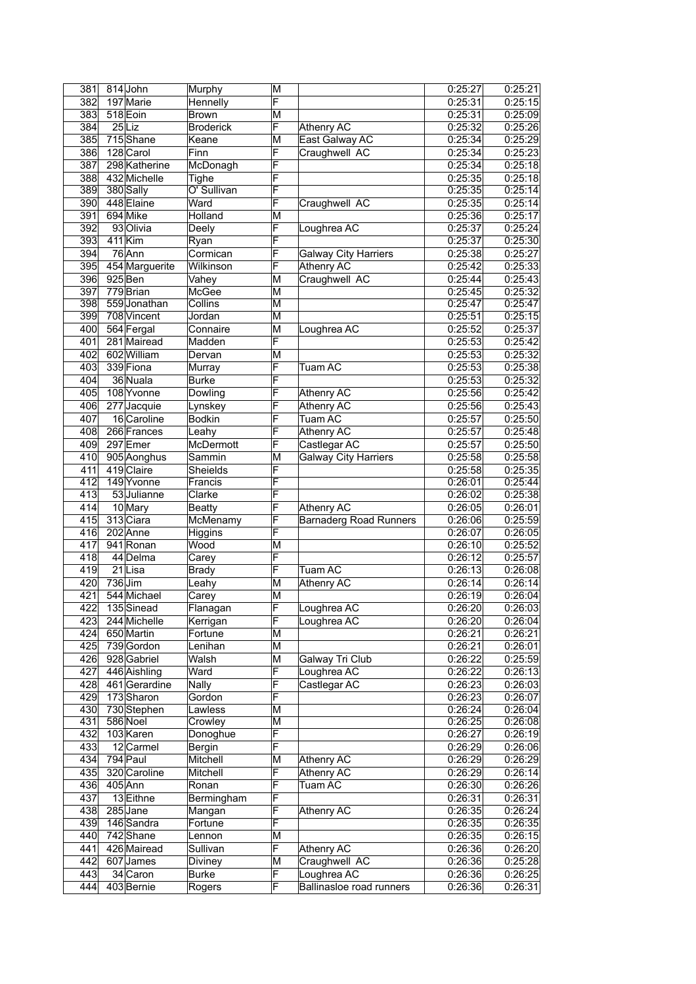| 381        | 814 John                 | Murphy            | M              |                               | 0:25:27            | 0:25:21            |
|------------|--------------------------|-------------------|----------------|-------------------------------|--------------------|--------------------|
| 382        | 197 Marie                | Hennelly          | F              |                               | 0:25:31            | 0:25:15            |
| 383        | 518 Eoin                 | Brown             | M              |                               | 0:25:31            | 0:25:09            |
| 384        | $25$ Liz                 | <b>Broderick</b>  | F              | Athenry AC                    | 0:25:32            | 0:25:26            |
| 385        | 715Shane                 | Keane             | M              | East Galway AC                | 0:25:34            | 0:25:29            |
| 386        | 128 Carol                | Finn              | F              | Craughwell AC                 | 0:25:34            | 0:25:23            |
| 387        | 298 Katherine            | McDonagh          | F              |                               | 0:25:34            | 0:25:18            |
| 388        | 432 Michelle             | Tighe             | F              |                               | 0:25:35            | 0:25:18            |
| 389        | 380 Sally                | O' Sullivan       | F              |                               | 0:25:35            | 0:25:14            |
| 390        | 448 Elaine               | Ward              | F              | Craughwell AC                 | 0:25:35            | 0:25:14            |
| 391        | 694 Mike                 | Holland           | М              |                               | 0:25:36            | 0:25:17            |
| 392        | 93 Olivia                | Deely             | F              | Loughrea AC                   | 0:25:37            | 0:25:24            |
| 393        | $411$ Kim                | Ryan              | F              |                               | 0:25:37            | 0:25:30            |
| 394        | $76$ Ann                 | Cormican          | F              | <b>Galway City Harriers</b>   | 0:25:38            | 0:25:27            |
| 395        | 454 Marguerite           | <b>Wilkinson</b>  | F              | Athenry AC                    | 0:25:42            | 0:25:33            |
| 396        | 925 Ben                  | Vahey             | ΙM             | Craughwell AC                 | 0:25:44            | 0:25:43            |
| 397        | 779 Brian                | McGee             | ΙM             |                               | 0:25:45            | 0:25:32            |
| 398        | 559 Jonathan             | Collins           | M              |                               | 0:25:47            | 0:25:47            |
| 399        | 708 Vincent              | Jordan            | M              |                               | 0:25:51            | 0:25:15            |
| 400        | 564 Fergal               | Connaire          | M              | Loughrea AC                   | 0:25:52            | 0:25:37            |
| 401        | 281 Mairead              | Madden            | F              |                               | 0:25:53            | 0:25:42            |
| 402        | 602 William              | Dervan            | M              |                               | 0:25:53            | 0:25:32            |
| 403        | 339 Fiona                | Murray            | F              | Tuam AC                       | 0:25:53            | 0:25:38            |
| 404        | 36 Nuala                 | <b>Burke</b>      | F              |                               | 0:25:53            | 0:25:32            |
| 405        | 108 Yvonne               | Dowling           | F              | <b>Athenry AC</b>             | 0:25:56            | 0:25:42            |
| 406        | 277 Jacquie              | Lynskey           | F              | Athenry AC                    | 0:25:56            | 0:25:43            |
| 407        | 16 Caroline              | <b>Bodkin</b>     | F              | Tuam AC                       | 0:25:57            | 0:25:50            |
| 408        | 266 Frances              | Leahy             | F              | Athenry AC                    | 0:25:57            | 0:25:48            |
| 409        | 297 Emer                 | McDermott         | F              | Castlegar AC                  | 0:25:57            | 0:25:50            |
| 410        | 905 Aonghus              | Sammin            | М              | <b>Galway City Harriers</b>   | 0:25:58            | 0:25:58            |
| 411        | 419 Claire               | Sheields          | F              |                               | 0:25:58            | 0:25:35            |
| 412        | 149 Yvonne               | Francis           | F              |                               | 0:26:01            | 0:25:44            |
| 413        | 53 Julianne              | Clarke            | F              |                               | 0:26:02            | 0:25:38            |
| 414        | 10 Mary                  | <b>Beatty</b>     | F              | Athenry AC                    | 0:26:05            | 0:26:01            |
| 415        | 313 Ciara                | McMenamy          | F              | <b>Barnaderg Road Runners</b> | 0:26:06            | 0:25:59            |
| 416        | 202 Anne                 | <b>Higgins</b>    | F              |                               | 0:26:07            | 0:26:05            |
| 417        | 941 Ronan                | Wood              | M              |                               | 0:26:10            | 0:25:52            |
| 418        | 44 Delma                 | Carey             | F              |                               | 0:26:12            | 0:25:57            |
| 419        | 21Lisa                   | <b>Brady</b>      | F              | Tuam AC                       | 0:26:13            | 0:26:08            |
| 420        | $736$ Jim                | Leahy             | M              | <b>Athenry AC</b>             | 0:26:14            | 0:26:14            |
| 421        | 544 Michael              | Carey             | M              |                               | 0:26:19            | 0:26:04            |
| 422        | 135 Sinead               | Flanagan          | $\overline{F}$ | Loughrea AC                   | 0:26:20            | 0:26:03            |
| 423        | 244 Michelle             | Kerrigan          | F              | Loughrea AC                   | 0:26:20            | 0:26:04            |
| 424        | 650 Martin               | Fortune           | M              |                               | 0:26:21            | 0:26:21            |
| 425        | 739 Gordon               | Lenihan           | M              |                               | 0:26:21            | 0:26:01            |
| 426        | 928 Gabriel              | Walsh             | M              | Galway Tri Club               | 0:26:22            | 0:25:59            |
| 427        | 446 Aishling             | Ward              | $\overline{F}$ | Loughrea AC                   | 0:26:22            | 0:26:13            |
| 428        | 461 Gerardine            | Nally             | F              | Castlegar AC                  | 0:26:23            | 0:26:03            |
| 429        | 173Sharon                | Gordon            | F              |                               | 0:26:23            | 0:26:07            |
| 430        | 730 Stephen              | Lawless           | M              |                               | 0:26:24            | 0:26:04            |
| 431<br>432 | 586 Noel                 | Crowley           | М<br>F         |                               | 0:26:25<br>0:26:27 | 0:26:08<br>0:26:19 |
| 433        | 103 Karen<br>12 Carmel   | Donoghue          | F              |                               | 0:26:29            |                    |
|            |                          | Bergin            |                |                               |                    | 0:26:06            |
| 434        | 794 Paul                 | Mitchell          | M              | Athenry AC                    | 0:26:29            | 0:26:29            |
| 435        | 320 Caroline             | Mitchell          | F<br>F         | Athenry AC                    | 0:26:29            | 0:26:14            |
| 436        | 405 Ann                  | Ronan             | F              | Tuam AC                       | 0:26:30            | 0:26:26            |
| 437        | 13 Eithne                | <b>Bermingham</b> |                |                               | 0:26:31            | 0:26:31            |
| 438        | 285 Jane<br>146 Sandra   | Mangan            | F<br>F         | Athenry AC                    | 0:26:35            | 0:26:24            |
| 439        | 742 Shane                | Fortune           | M              |                               | 0:26:35            | 0:26:35<br>0:26:15 |
| 440<br>441 |                          | Lennon            | F              | Athenry AC                    | 0:26:35            |                    |
| 442        | 426 Mairead<br>607 James | Sullivan          | M              |                               | 0:26:36<br>0:26:36 | 0:26:20            |
|            |                          | Diviney           |                | Craughwell AC                 |                    | 0:25:28            |
| 443        | 34 Caron                 | <b>Burke</b>      | F<br>F         | Loughrea AC                   | 0:26:36            | 0:26:25            |
| 444        | 403 Bernie               | Rogers            |                | Ballinasloe road runners      | 0:26:36            | 0:26:31            |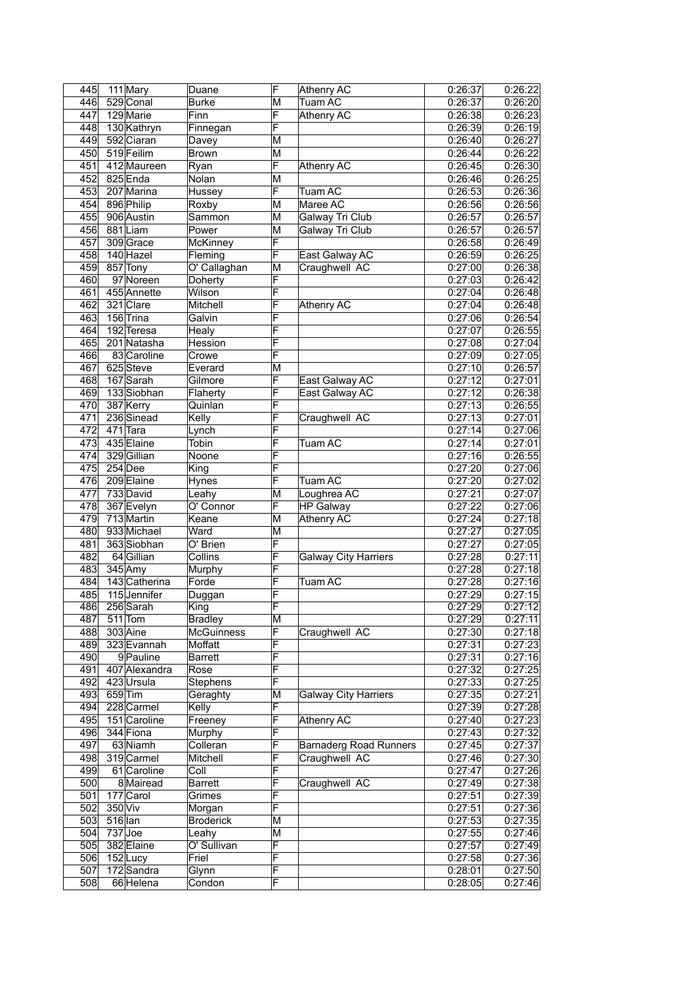| 445 | 111 Mary      | Duane             | F                       | Athenry AC                    | 0:26:37              | 0:26:22 |
|-----|---------------|-------------------|-------------------------|-------------------------------|----------------------|---------|
| 446 | 529 Conal     | <b>Burke</b>      | М                       | Tuam AC                       | 0:26:37              | 0:26:20 |
| 447 | 129 Marie     | Finn              | F                       | Athenry AC                    | 0:26:38              | 0:26:23 |
| 448 | 130 Kathryn   | Finnegan          | F                       |                               | 0:26:39              | 0:26:19 |
| 449 | 592 Ciaran    | Davey             | M                       |                               | 0:26:40              | 0:26:27 |
| 450 | 519 Feilim    | <b>Brown</b>      | $\overline{\mathsf{M}}$ |                               | 0:26:44              | 0:26:22 |
| 451 | 412 Maureen   | Ryan              | F                       | <b>Athenry AC</b>             | 0:26:45              | 0:26:30 |
| 452 | 825 Enda      | Nolan             | M                       |                               | 0:26:46              | 0:26:25 |
| 453 | 207 Marina    | Hussey            | F                       | Tuam AC                       | 0:26:53              | 0:26:36 |
| 454 | 896 Philip    | Roxby             | M                       | Maree AC                      | 0:26:56              | 0:26:56 |
| 455 | 906 Austin    |                   |                         |                               |                      |         |
|     |               | Sammon            | M                       | <b>Galway Tri Club</b>        | 0:26:57              | 0:26:57 |
| 456 | 881Liam       | Power             | M                       | Galway Tri Club               | 0:26:57              | 0:26:57 |
| 457 | 309 Grace     | McKinney          | F                       |                               | 0:26:58              | 0:26:49 |
| 458 | 140 Hazel     | Fleming           | F                       | East Galway AC                | 0:26:59              | 0:26:25 |
| 459 | 857 Tony      | O' Callaghan      | M                       | Craughwell AC                 | 0:27:00              | 0:26:38 |
| 460 | 97 Noreen     | Doherty           | F                       |                               | 0:27:03              | 0:26:42 |
| 461 | 455 Annette   | Wilson            | F                       |                               | 0:27:04              | 0:26:48 |
| 462 | 321 Clare     | Mitchell          | F                       | Athenry AC                    | 0:27:04              | 0:26:48 |
| 463 | 156 Trina     | Galvin            | F                       |                               | 0:27:06              | 0:26:54 |
| 464 | 192 Teresa    | Healy             | F                       |                               | 0:27:07              | 0:26:55 |
| 465 | 201 Natasha   | Hession           | F                       |                               | 0:27:08              | 0:27:04 |
| 466 | 83 Caroline   | Crowe             | F                       |                               | 0:27:09              | 0:27:05 |
| 467 | 625 Steve     | Everard           | M                       |                               | 0:27:10              | 0:26:57 |
| 468 | 167 Sarah     | Gilmore           | F                       | East Galway AC                | 0:27:12              | 0:27:01 |
| 469 | 133 Siobhan   | Flaherty          | F                       | East Galway AC                | 0:27:12              | 0:26:38 |
| 470 | 387 Kerry     | Quinlan           | F                       |                               | 0:27:13              | 0:26:55 |
| 471 | 236 Sinead    | Kelly             | F                       | Craughwell AC                 | 0:27:13              | 0:27:01 |
| 472 | 471 Tara      | Lynch             | F                       |                               | 0:27:14              | 0:27:06 |
|     |               |                   | F                       |                               |                      |         |
| 473 | 435 Elaine    | Tobin             |                         | Tuam AC                       | 0:27:14              | 0:27:01 |
| 474 | 329 Gillian   | Noone             | F                       |                               | 0:27:16              | 0:26:55 |
| 475 | $254$ Dee     | King              | F                       |                               | 0:27:20              | 0:27:06 |
| 476 | 209 Elaine    | Hynes             | F                       | Tuam AC                       | 0:27:20              | 0:27:02 |
| 477 | 733 David     | Leahy             | M                       | Loughrea AC                   | 0:27:21              | 0:27:07 |
| 478 | 367 Evelyn    | O' Connor         | F                       | <b>HP Galway</b>              | 0:27:22              | 0:27:06 |
| 479 | 713 Martin    | Keane             | M                       | <b>Athenry AC</b>             | 0:27:24              | 0:27:18 |
| 480 | 933 Michael   | Ward              | M                       |                               | 0:27:27              | 0:27:05 |
| 481 | 363 Siobhan   | $O'$ Brien        | F                       |                               | 0:27:27              | 0:27:05 |
| 482 | 64 Gillian    | Collins           | F                       | <b>Galway City Harriers</b>   | 0:27:28              | 0:27:11 |
| 483 | $345$ Amy     | Murphy            | F                       |                               | 0:27:28              | 0:27:18 |
| 484 | 143 Catherina | Forde             | F                       | Tuam AC                       | 0:27:28              | 0:27:16 |
| 485 | 115 Jennifer  | Duggan            | F                       |                               | 0:27:29              | 0:27:15 |
| 486 | 256 Sarah     | King              | F                       |                               | 0:27:29              | 0:27:12 |
| 487 | $511$ Tom     | <b>Bradley</b>    | M                       |                               | 0:27:29              | 0:27:11 |
| 488 | 303 Aine      | <b>McGuinness</b> | F                       | Craughwell AC                 | 0:27:30              | 0:27:18 |
| 489 | 323 Evannah   | Moffatt           | F                       |                               |                      |         |
| 490 | 9 Pauline     |                   | F                       |                               | 0:27:31<br>0:27:31   | 0:27:23 |
|     |               | Barrett           | F                       |                               |                      | 0:27:16 |
| 491 | 407 Alexandra | Rose              |                         |                               | 0:27:32              | 0:27:25 |
| 492 | 423 Ursula    | Stephens          | F                       |                               | 0:27:33              | 0:27:25 |
| 493 | 659 Tim       | Geraghty          | M                       | <b>Galway City Harriers</b>   | 0:27:35              | 0:27:21 |
| 494 | 228 Carmel    | Kelly             | F                       |                               | 0:27:39              | 0:27:28 |
| 495 | 151 Caroline  | Freeney           | F                       | <b>Athenry AC</b>             | 0:27:40              | 0:27:23 |
| 496 | 344 Fiona     | Murphy            | F                       |                               | 0:27:43              | 0:27:32 |
| 497 | 63 Niamh      | Colleran          | F                       | <b>Barnaderg Road Runners</b> | 0:27:45              | 0:27:37 |
| 498 | 319 Carmel    | Mitchell          | F                       | Craughwell AC                 | 0:27:46              | 0:27:30 |
| 499 | 61 Caroline   | Coll              | F                       |                               | 0:27:47              | 0:27:26 |
| 500 | 8 Mairead     | <b>Barrett</b>    | F                       | Craughwell AC                 | 0:27:49              | 0:27:38 |
| 501 | 177 Carol     | Grimes            | F                       |                               | 0:27:51              | 0:27:39 |
| 502 | 350 Viv       | Morgan            | F                       |                               | 0:27:51              | 0:27:36 |
| 503 | $516$  lan    | <b>Broderick</b>  | $\overline{\mathsf{M}}$ |                               | 0:27:53              | 0:27:35 |
| 504 | 737Joe        | Leahy             | M                       |                               | $\overline{0:}27:55$ | 0:27:46 |
| 505 | 382 Elaine    | O' Sullivan       | F                       |                               | 0:27:57              | 0:27:49 |
| 506 | 152Lucy       | Friel             | F                       |                               | 0:27:58              | 0:27:36 |
| 507 | 172 Sandra    | Glynn             | F                       |                               | 0:28:01              | 0:27:50 |
| 508 | 66 Helena     | Condon            | F                       |                               | 0:28:05              | 0:27:46 |
|     |               |                   |                         |                               |                      |         |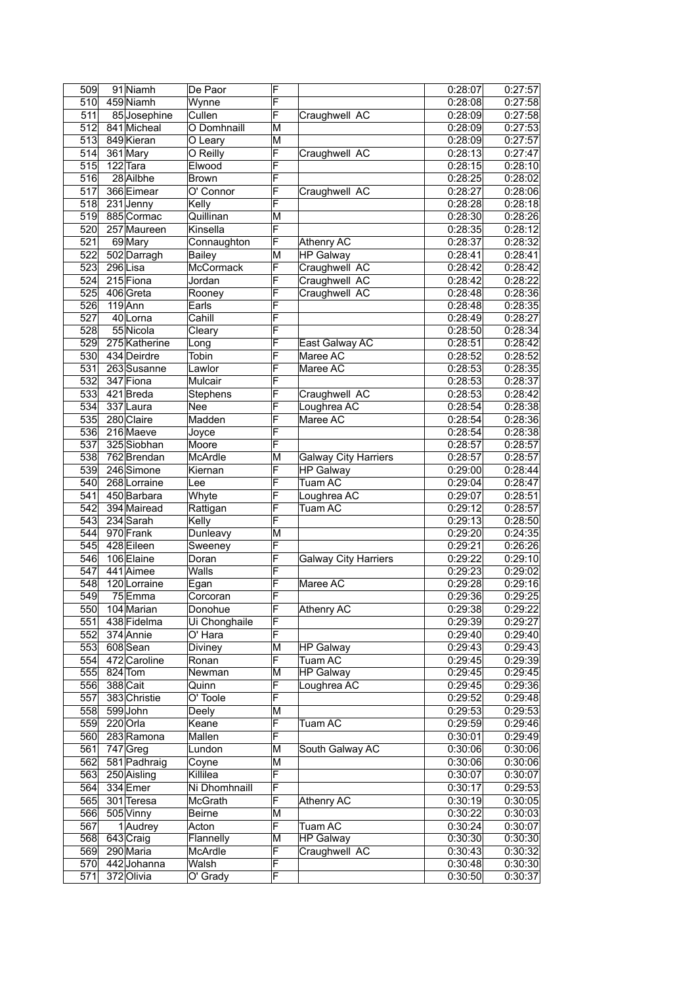| 509              | 91 Niamh      | De Paor          | F                       |                             | 0:28:07              | 0:27:57 |
|------------------|---------------|------------------|-------------------------|-----------------------------|----------------------|---------|
| 510              | 459 Niamh     | Wynne            | F                       |                             | 0:28:08              | 0:27:58 |
| 511              | 85 Josephine  | Cullen           | F                       | Craughwell AC               | 0:28:09              | 0:27:58 |
| 512              | 841 Micheal   | O Domhnaill      | M                       |                             | 0:28:09              | 0:27:53 |
| 513              | 849 Kieran    | O Leary          | M                       |                             | 0:28:09              | 0:27:57 |
| 514              | 361 Mary      | O Reilly         | F                       | Craughwell AC               | 0:28:13              | 0:27:47 |
| 515              | 122 Tara      | Elwood           | F                       |                             | 0:28:15              | 0:28:10 |
| 516              | 28 Ailbhe     | Brown            | F                       |                             | 0:28:25              | 0:28:02 |
| 517              | 366 Eimear    | O' Connor        | F                       | Craughwell AC               | 0:28:27              | 0:28:06 |
| $\overline{518}$ | 231 Jenny     | Kelly            | F                       |                             | 0:28:28              | 0:28:18 |
| 519              | 885 Cormac    | Quillinan        | M                       |                             | 0:28:30              | 0:28:26 |
| 520              | 257 Maureen   | Kinsella         | F                       |                             | 0:28:35              | 0:28:12 |
| 521              |               |                  | F                       |                             |                      | 0:28:32 |
|                  | 69 Mary       | Connaughton      |                         | Athenry AC                  | 0:28:37              |         |
| 522              | 502 Darragh   | <b>Bailey</b>    | M                       | <b>HP Galway</b>            | 0:28:41              | 0:28:41 |
| 523              | 296Lisa       | <b>McCormack</b> | F                       | Craughwell AC               | 0:28:42              | 0:28:42 |
| 524              | 215 Fiona     | Jordan           | F                       | Craughwell AC               | 0:28:42              | 0:28:22 |
| 525              | 406 Greta     | Rooney           | F                       | Craughwell AC               | 0:28:48              | 0:28:36 |
| 526              | $119$ Ann     | Earls            | F                       |                             | 0:28:48              | 0:28:35 |
| 527              | 40 Lorna      | Cahill           | F                       |                             | 0:28:49              | 0:28:27 |
| 528              | 55 Nicola     | Cleary           | F                       |                             | 0:28:50              | 0:28:34 |
| 529              | 275 Katherine | Long             | F                       | East Galway AC              | 0:28:51              | 0:28:42 |
| 530              | 434 Deirdre   | Tobin            | F                       | Maree AC                    | 0:28:52              | 0:28:52 |
| 531              | 263 Susanne   | Lawlor           | F                       | Maree AC                    | 0:28:53              | 0:28:35 |
| 532              | 347 Fiona     | Mulcair          | F                       |                             | 0:28:53              | 0:28:37 |
| 533              | 421 Breda     | Stephens         | F                       | Craughwell AC               | 0:28:53              | 0:28:42 |
| 534              | 337 Laura     | <b>Nee</b>       | F                       | Loughrea AC                 | 0:28:54              | 0:28:38 |
| 535              | 280 Claire    | Madden           | F                       | Maree AC                    | 0:28:54              | 0:28:36 |
| $\overline{536}$ | 216 Maeve     | Joyce            | F                       |                             | 0:28:54              | 0:28:38 |
| $\overline{537}$ | 325 Siobhan   | Moore            | F                       |                             | 0:28:57              | 0:28:57 |
| 538              | 762 Brendan   | McArdle          | M                       | <b>Galway City Harriers</b> | 0:28:57              | 0:28:57 |
| 539              | 246 Simone    | Kiernan          | F                       | <b>HP</b> Galway            | 0:29:00              | 0:28:44 |
| 540              | 268 Lorraine  | Lee              | F                       | Tuam AC                     | 0:29:04              | 0:28:47 |
| 541              |               |                  | F                       |                             |                      |         |
|                  | 450 Barbara   | Whyte            |                         | Loughrea AC                 | 0:29:07              | 0:28:51 |
| 542              | 394 Mairead   | Rattigan         | F                       | Tuam AC                     | 0:29:12              | 0:28:57 |
| 543              | 234 Sarah     | Kelly            | F                       |                             | 0:29:13              | 0:28:50 |
| 544              | 970 Frank     | Dunleavy         | M                       |                             | 0:29:20              | 0:24:35 |
| 545              | 428 Eileen    | Sweeney          | F                       |                             | 0:29:21              | 0:26:26 |
| 546              | 106 Elaine    | Doran            | F                       | <b>Galway City Harriers</b> | 0:29:22              | 0:29:10 |
| 547              | 441 Aimee     | Walls            | F                       |                             | 0:29:23              | 0:29:02 |
| 548              | 120 Lorraine  | Egan             | F                       | Maree AC                    | 0:29:28              | 0:29:16 |
| $\overline{549}$ | 75Emma        | Corcoran         | F                       |                             | 0:29:36              | 0:29:25 |
| 550              | 104 Marian    | Donohue          | ۲                       | Athenry AC                  | 0:29:38              | 0:29:22 |
| 551              | 438 Fidelma   | Ui Chonghaile    | F                       |                             | 0:29:39              | 0:29:27 |
| 552              | 374 Annie     | O' Hara          | F                       |                             | 0:29:40              | 0:29:40 |
| 553              | 608Sean       | Diviney          | M                       | <b>HP Galway</b>            | 0:29:43              | 0:29:43 |
| 554              | 472 Caroline  | Ronan            | F                       | Tuam AC                     | 0:29:45              | 0:29:39 |
| 555              | $824$ Tom     | Newman           | M                       | <b>HP Galway</b>            | 0:29:45              | 0:29:45 |
| 556              | 388 Cait      | Quinn            | F                       | Loughrea AC                 | 0:29:45              | 0:29:36 |
| 557              | 383 Christie  | O' Toole         | F                       |                             | 0:29:52              | 0:29:48 |
| 558              | 599John       | Deely            | M                       |                             | 0:29:53              | 0:29:53 |
| 559              | $220$ Orla    | Keane            | F                       | Tuam AC                     | 0:29:59              | 0:29:46 |
| 560              | 283 Ramona    | Mallen           | F                       |                             | 0:30:01              | 0:29:49 |
| 561              | $747$ Greg    | Lundon           | M                       | South Galway AC             | 0:30:06              | 0:30:06 |
| 562              | 581 Padhraig  | Coyne            | $\overline{\mathsf{M}}$ |                             | $\overline{0:}30:06$ | 0:30:06 |
| 563              |               |                  | F                       |                             |                      |         |
|                  | 250 Aisling   | Killilea         |                         |                             | 0:30:07              | 0:30:07 |
| 564              | 334 Emer      | Ni Dhomhnaill    | F                       |                             | 0:30:17              | 0:29:53 |
| 565              | 301 Teresa    | McGrath          | F                       | Athenry AC                  | 0:30:19              | 0:30:05 |
| 566              | 505 Vinny     | Beirne           | M                       |                             | 0:30:22              | 0:30:03 |
| 567              | 1 Audrey      | Acton            | F                       | Tuam AC                     | 0:30:24              | 0:30:07 |
| 568              | 643 Craig     | Flannelly        | M                       | <b>HP Galway</b>            | 0:30:30              | 0:30:30 |
| 569              | 290 Maria     | McArdle          | F                       | Craughwell AC               | 0:30:43              | 0:30:32 |
| 570              | 442Johanna    | Walsh            | F                       |                             | 0:30:48              | 0:30:30 |
| 571              | 372 Olivia    | O' Grady         | F                       |                             | 0:30:50              | 0:30:37 |